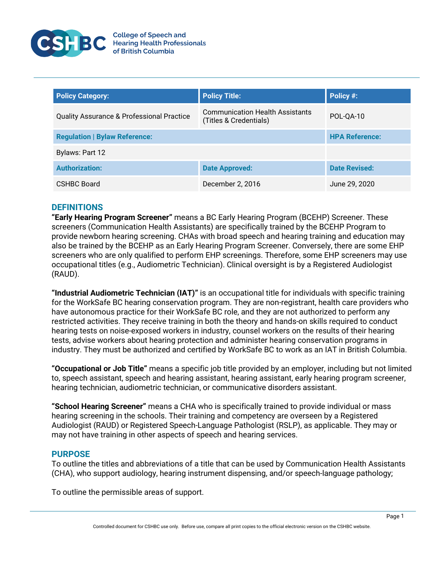

| <b>Policy Category:</b>                              | <b>Policy Title:</b>                                             | Policy #:             |
|------------------------------------------------------|------------------------------------------------------------------|-----------------------|
| <b>Quality Assurance &amp; Professional Practice</b> | <b>Communication Health Assistants</b><br>(Titles & Credentials) | POL-QA-10             |
| <b>Regulation   Bylaw Reference:</b>                 |                                                                  | <b>HPA Reference:</b> |
| Bylaws: Part 12                                      |                                                                  |                       |
| <b>Authorization:</b>                                | <b>Date Approved:</b>                                            | <b>Date Revised:</b>  |
| <b>CSHBC Board</b>                                   | December 2, 2016                                                 | June 29, 2020         |

# **DEFINITIONS**

**"Early Hearing Program Screener"** means a BC Early Hearing Program (BCEHP) Screener. These screeners (Communication Health Assistants) are specifically trained by the BCEHP Program to provide newborn hearing screening. CHAs with broad speech and hearing training and education may also be trained by the BCEHP as an Early Hearing Program Screener. Conversely, there are some EHP screeners who are only qualified to perform EHP screenings. Therefore, some EHP screeners may use occupational titles (e.g., Audiometric Technician). Clinical oversight is by a Registered Audiologist (RAUD).

**"Industrial Audiometric Technician (IAT)"** is an occupational title for individuals with specific training for the WorkSafe BC hearing conservation program. They are non-registrant, health care providers who have autonomous practice for their WorkSafe BC role, and they are not authorized to perform any restricted activities. They receive training in both the theory and hands-on skills required to conduct hearing tests on noise-exposed workers in industry, counsel workers on the results of their hearing tests, advise workers about hearing protection and administer hearing conservation programs in industry. They must be authorized and certified by WorkSafe BC to work as an IAT in British Columbia.

**"Occupational or Job Title"** means a specific job title provided by an employer, including but not limited to, speech assistant, speech and hearing assistant, hearing assistant, early hearing program screener, hearing technician, audiometric technician, or communicative disorders assistant.

**"School Hearing Screener"** means a CHA who is specifically trained to provide individual or mass hearing screening in the schools. Their training and competency are overseen by a Registered Audiologist (RAUD) or Registered Speech-Language Pathologist (RSLP), as applicable. They may or may not have training in other aspects of speech and hearing services.

# **PURPOSE**

To outline the titles and abbreviations of a title that can be used by Communication Health Assistants (CHA), who support audiology, hearing instrument dispensing, and/or speech-language pathology;

To outline the permissible areas of support.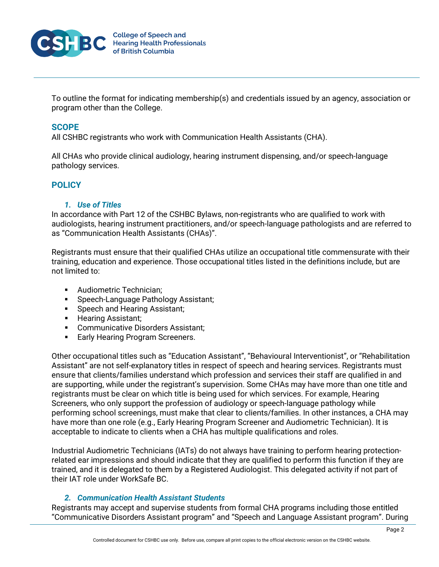

To outline the format for indicating membership(s) and credentials issued by an agency, association or program other than the College.

# **SCOPE**

All CSHBC registrants who work with Communication Health Assistants (CHA).

All CHAs who provide clinical audiology, hearing instrument dispensing, and/or speech-language pathology services.

# **POLICY**

# *1. Use of Titles*

In accordance with Part 12 of the CSHBC Bylaws, non-registrants who are qualified to work with audiologists, hearing instrument practitioners, and/or speech-language pathologists and are referred to as "Communication Health Assistants (CHAs)".

Registrants must ensure that their qualified CHAs utilize an occupational title commensurate with their training, education and experience. Those occupational titles listed in the definitions include, but are not limited to:

- **Audiometric Technician:**
- **Speech-Language Pathology Assistant;**
- **Speech and Hearing Assistant;**
- **Hearing Assistant;**
- **EXECOMMUNICATIVE Disorders Assistant;**
- **Early Hearing Program Screeners.**

Other occupational titles such as "Education Assistant", "Behavioural Interventionist", or "Rehabilitation Assistant" are not self-explanatory titles in respect of speech and hearing services. Registrants must ensure that clients/families understand which profession and services their staff are qualified in and are supporting, while under the registrant's supervision. Some CHAs may have more than one title and registrants must be clear on which title is being used for which services. For example, Hearing Screeners, who only support the profession of audiology or speech-language pathology while performing school screenings, must make that clear to clients/families. In other instances, a CHA may have more than one role (e.g., Early Hearing Program Screener and Audiometric Technician). It is acceptable to indicate to clients when a CHA has multiple qualifications and roles.

Industrial Audiometric Technicians (IATs) do not always have training to perform hearing protectionrelated ear impressions and should indicate that they are qualified to perform this function if they are trained, and it is delegated to them by a Registered Audiologist. This delegated activity if not part of their IAT role under WorkSafe BC.

# *2. Communication Health Assistant Students*

Registrants may accept and supervise students from formal CHA programs including those entitled "Communicative Disorders Assistant program" and "Speech and Language Assistant program". During